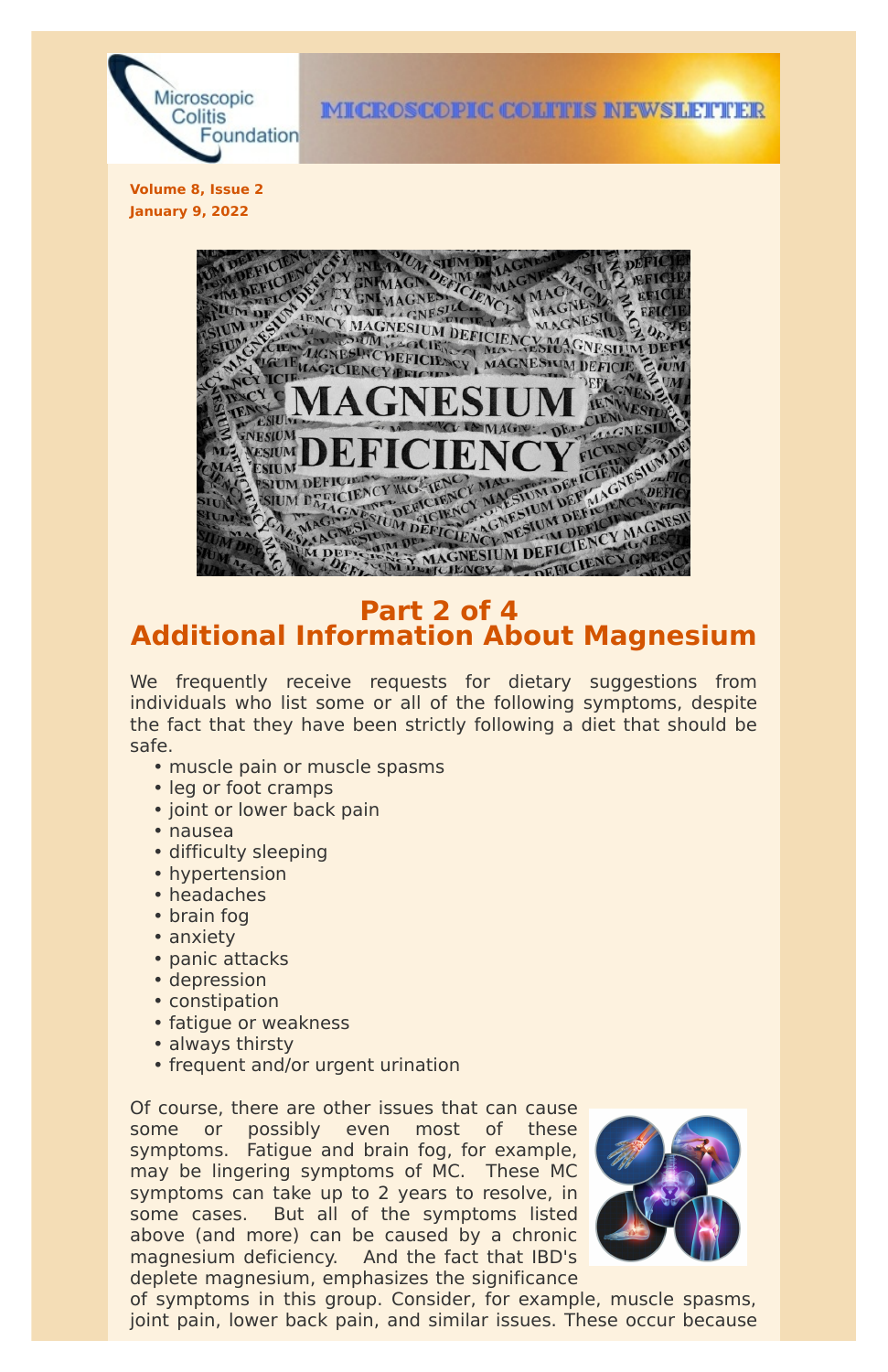

**IMICROSCOPIC COLITIES INEWSILETTER** 

**Volume 8, Issue 2 January 9, 2022**



## **Part 2 of 4 Additional Information About Magnesium**

We frequently receive requests for dietary suggestions from individuals who list some or all of the following symptoms, despite the fact that they have been strictly following a diet that should be safe.

- muscle pain or muscle spasms
- leg or foot cramps
- joint or lower back pain
- nausea
- difficulty sleeping
- hypertension
- headaches
- brain fog
- anxiety
- panic attacks
- depression
- constipation
- fatigue or weakness
- always thirsty
- frequent and/or urgent urination

Of course, there are other issues that can cause some or possibly even most of these symptoms. Fatigue and brain fog, for example, may be lingering symptoms of MC. These MC symptoms can take up to 2 years to resolve, in some cases. But all of the symptoms listed above (and more) can be caused by a chronic magnesium deficiency. And the fact that IBD's deplete magnesium, emphasizes the significance



of symptoms in this group. Consider, for example, muscle spasms, joint pain, lower back pain, and similar issues. These occur because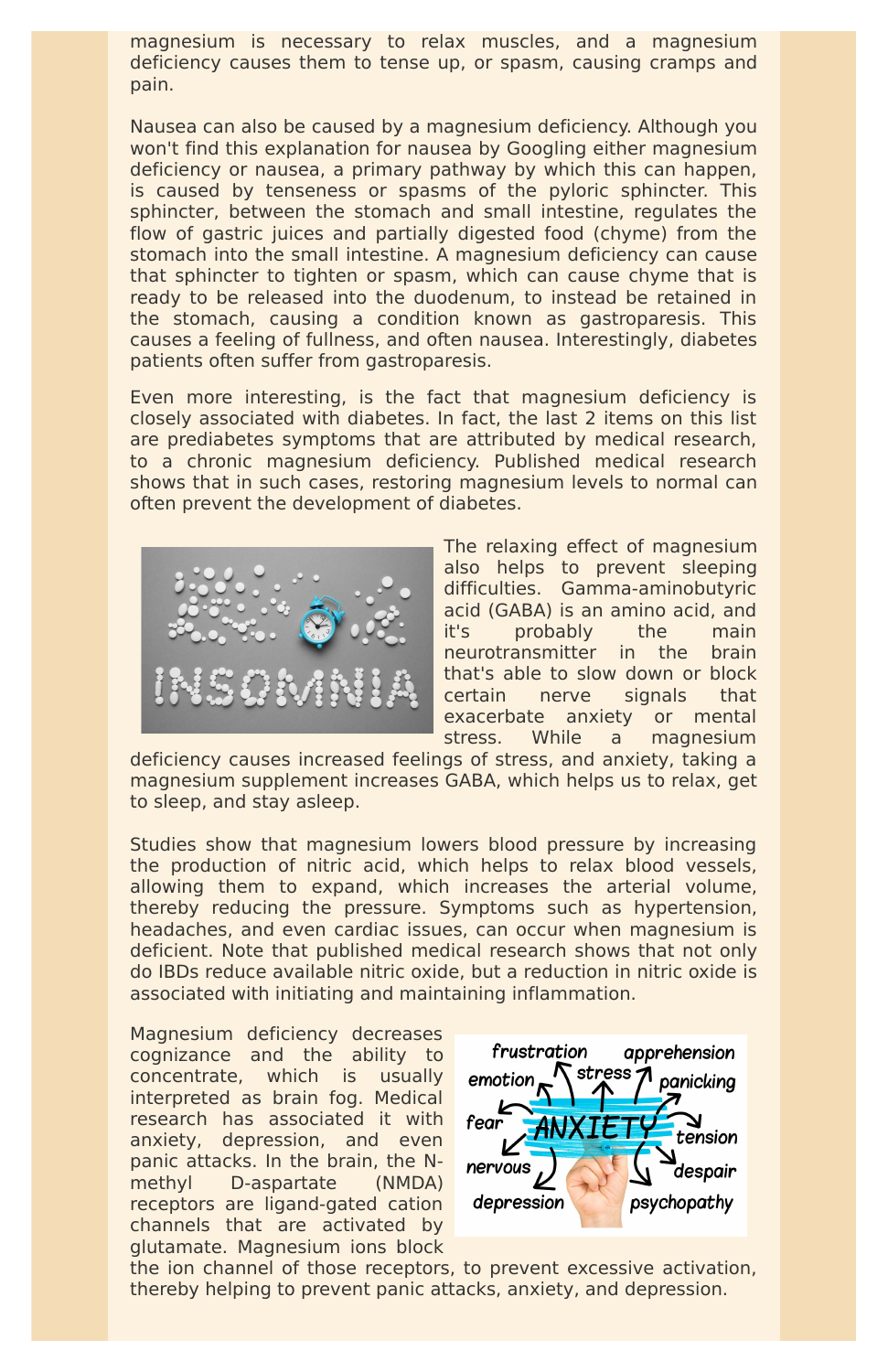magnesium is necessary to relax muscles, and a magnesium deficiency causes them to tense up, or spasm, causing cramps and pain.

Nausea can also be caused by a magnesium deficiency. Although you won't find this explanation for nausea by Googling either magnesium deficiency or nausea, a primary pathway by which this can happen, is caused by tenseness or spasms of the pyloric sphincter. This sphincter, between the stomach and small intestine, regulates the flow of gastric juices and partially digested food (chyme) from the stomach into the small intestine. A magnesium deficiency can cause that sphincter to tighten or spasm, which can cause chyme that is ready to be released into the duodenum, to instead be retained in the stomach, causing a condition known as gastroparesis. This causes a feeling of fullness, and often nausea. Interestingly, diabetes patients often suffer from gastroparesis.

Even more interesting, is the fact that magnesium deficiency is closely associated with diabetes. In fact, the last 2 items on this list are prediabetes symptoms that are attributed by medical research, to a chronic magnesium deficiency. Published medical research shows that in such cases, restoring magnesium levels to normal can often prevent the development of diabetes.



The relaxing effect of magnesium also helps to prevent sleeping difficulties. Gamma-aminobutyric acid (GABA) is an amino acid, and it's probably the main neurotransmitter in the brain that's able to slow down or block certain nerve signals that exacerbate anxiety or mental stress. While a magnesium

deficiency causes increased feelings of stress, and anxiety, taking a magnesium supplement increases GABA, which helps us to relax, get to sleep, and stay asleep.

Studies show that magnesium lowers blood pressure by increasing the production of nitric acid, which helps to relax blood vessels, allowing them to expand, which increases the arterial volume, thereby reducing the pressure. Symptoms such as hypertension, headaches, and even cardiac issues, can occur when magnesium is deficient. Note that published medical research shows that not only do IBDs reduce available nitric oxide, but a reduction in nitric oxide is associated with initiating and maintaining inflammation.

Magnesium deficiency decreases cognizance and the ability to concentrate, which is usually interpreted as brain fog. Medical research has associated it with anxiety, depression, and even panic attacks. In the brain, the Nmethyl D-aspartate (NMDA) receptors are ligand-gated cation channels that are activated by glutamate. Magnesium ions block



the ion channel of those receptors, to prevent excessive activation, thereby helping to prevent panic attacks, anxiety, and depression.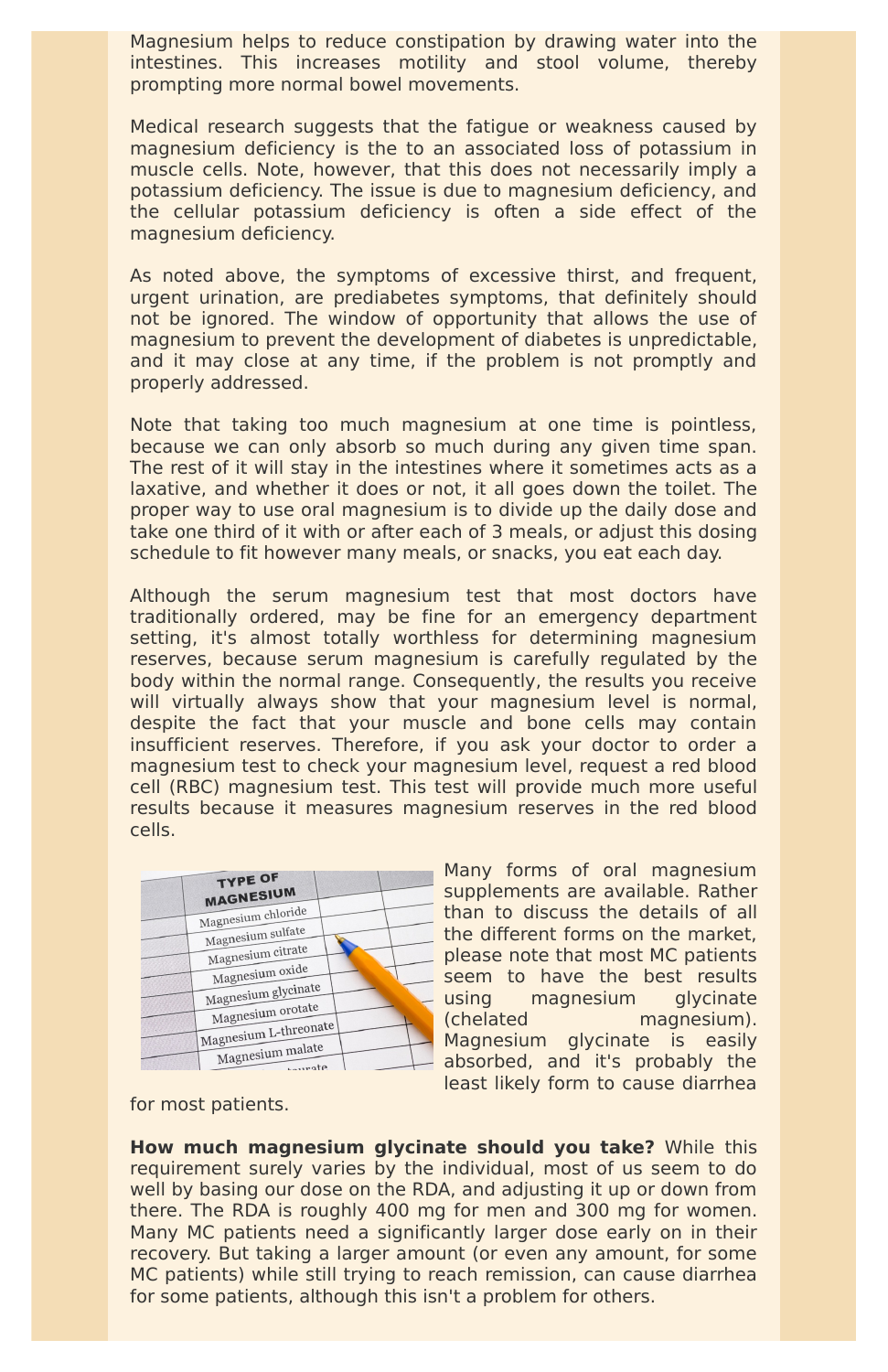Magnesium helps to reduce constipation by drawing water into the intestines. This increases motility and stool volume, thereby prompting more normal bowel movements.

Medical research suggests that the fatigue or weakness caused by magnesium deficiency is the to an associated loss of potassium in muscle cells. Note, however, that this does not necessarily imply a potassium deficiency. The issue is due to magnesium deficiency, and the cellular potassium deficiency is often a side effect of the magnesium deficiency.

As noted above, the symptoms of excessive thirst, and frequent, urgent urination, are prediabetes symptoms, that definitely should not be ignored. The window of opportunity that allows the use of magnesium to prevent the development of diabetes is unpredictable, and it may close at any time, if the problem is not promptly and properly addressed.

Note that taking too much magnesium at one time is pointless, because we can only absorb so much during any given time span. The rest of it will stay in the intestines where it sometimes acts as a laxative, and whether it does or not, it all goes down the toilet. The proper way to use oral magnesium is to divide up the daily dose and take one third of it with or after each of 3 meals, or adjust this dosing schedule to fit however many meals, or snacks, you eat each day.

Although the serum magnesium test that most doctors have traditionally ordered, may be fine for an emergency department setting, it's almost totally worthless for determining magnesium reserves, because serum magnesium is carefully regulated by the body within the normal range. Consequently, the results you receive will virtually always show that your magnesium level is normal, despite the fact that your muscle and bone cells may contain insufficient reserves. Therefore, if you ask your doctor to order a magnesium test to check your magnesium level, request a red blood cell (RBC) magnesium test. This test will provide much more useful results because it measures magnesium reserves in the red blood cells.

| <b>TYPE OF</b><br><b>MAGNESIUM</b> |  |
|------------------------------------|--|
| Magnesium chloride                 |  |
|                                    |  |
| Magnesium sulfate                  |  |
| Magnesium citrate                  |  |
| Magnesium oxide                    |  |
| Magnesium glycinate                |  |
| $+at^{\alpha}$                     |  |

Many forms of oral magnesium supplements are available. Rather than to discuss the details of all the different forms on the market, please note that most MC patients seem to have the best results using magnesium glycinate



(chelated magnesium). Magnesium glycinate is easily absorbed, and it's probably the least likely form to cause diarrhea

for most patients.

**How much magnesium glycinate should you take?** While this requirement surely varies by the individual, most of us seem to do well by basing our dose on the RDA, and adjusting it up or down from there. The RDA is roughly 400 mg for men and 300 mg for women. Many MC patients need a significantly larger dose early on in their recovery. But taking a larger amount (or even any amount, for some MC patients) while still trying to reach remission, can cause diarrhea for some patients, although this isn't a problem for others.